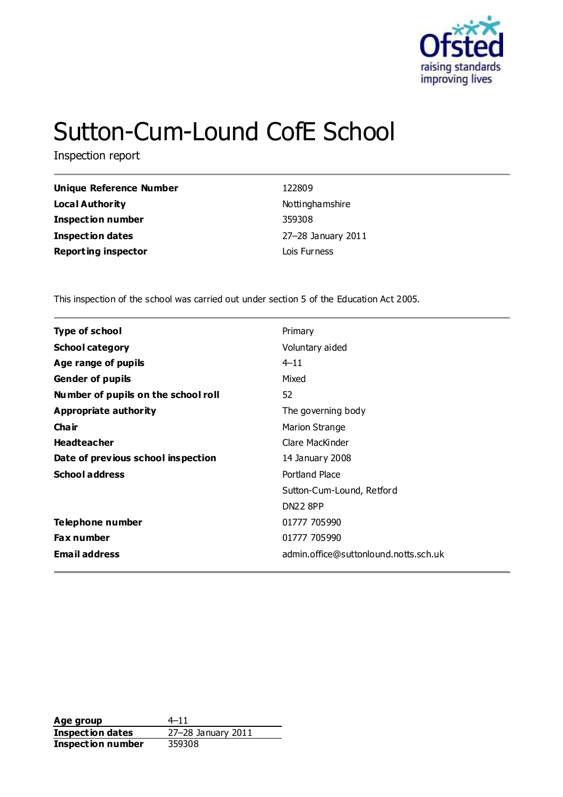

# Sutton-Cum-Lound CofE School

Inspection report

| <b>Unique Reference Number</b> |
|--------------------------------|
| Local Authority                |
| <b>Inspection number</b>       |
| <b>Inspection dates</b>        |
| <b>Reporting inspector</b>     |

**Unique Reference Number** 122809 **Local Authority** Nottinghamshire **Inspection number** 359308 **Inspection dates** 27–28 January 2011 **Lois Furness** 

This inspection of the school was carried out under section 5 of the Education Act 2005.

| <b>Type of school</b>               | Primary                               |
|-------------------------------------|---------------------------------------|
| <b>School category</b>              | Voluntary aided                       |
| Age range of pupils                 | $4 - 11$                              |
| <b>Gender of pupils</b>             | Mixed                                 |
| Number of pupils on the school roll | 52                                    |
| Appropriate authority               | The governing body                    |
| Cha ir                              | <b>Marion Strange</b>                 |
| <b>Headteacher</b>                  | Clare MacKinder                       |
| Date of previous school inspection  | 14 January 2008                       |
| <b>School address</b>               | Portland Place                        |
|                                     | Sutton-Cum-Lound, Retford             |
|                                     | <b>DN22 8PP</b>                       |
| Telephone number                    | 01777 705990                          |
| <b>Fax number</b>                   | 01777 705990                          |
| <b>Email address</b>                | admin.office@suttonlound.notts.sch.uk |

Age group  $4-11$ **Inspection dates** 27–28 January 2011 **Inspection number** 359308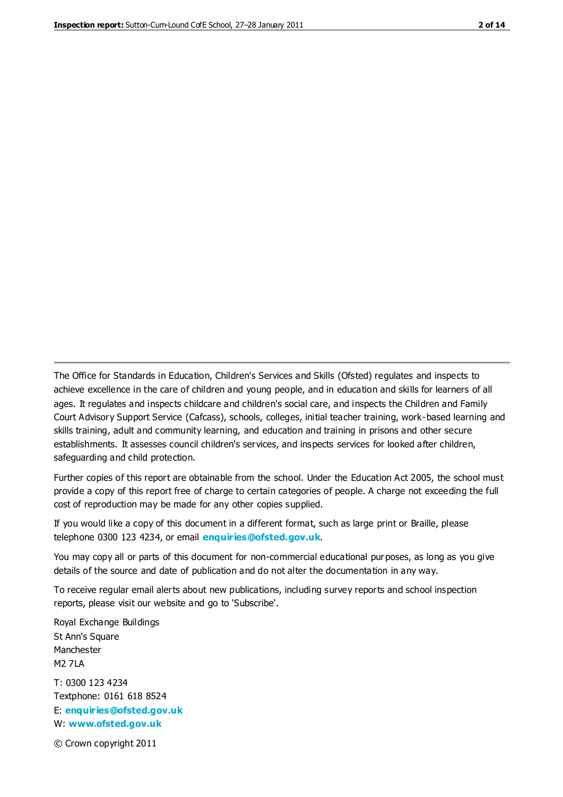The Office for Standards in Education, Children's Services and Skills (Ofsted) regulates and inspects to achieve excellence in the care of children and young people, and in education and skills for learners of all ages. It regulates and inspects childcare and children's social care, and inspects the Children and Family Court Advisory Support Service (Cafcass), schools, colleges, initial teacher training, work-based learning and skills training, adult and community learning, and education and training in prisons and other secure establishments. It assesses council children's services, and inspects services for looked after children, safeguarding and child protection.

Further copies of this report are obtainable from the school. Under the Education Act 2005, the school must provide a copy of this report free of charge to certain categories of people. A charge not exceeding the full cost of reproduction may be made for any other copies supplied.

If you would like a copy of this document in a different format, such as large print or Braille, please telephone 0300 123 4234, or email **[enquiries@ofsted.gov.uk](mailto:enquiries@ofsted.gov.uk)**.

You may copy all or parts of this document for non-commercial educational purposes, as long as you give details of the source and date of publication and do not alter the documentation in any way.

To receive regular email alerts about new publications, including survey reports and school inspection reports, please visit our website and go to 'Subscribe'.

Royal Exchange Buildings St Ann's Square Manchester M2 7LA T: 0300 123 4234 Textphone: 0161 618 8524 E: **[enquiries@ofsted.gov.uk](mailto:enquiries@ofsted.gov.uk)**

W: **[www.ofsted.gov.uk](http://www.ofsted.gov.uk/)**

© Crown copyright 2011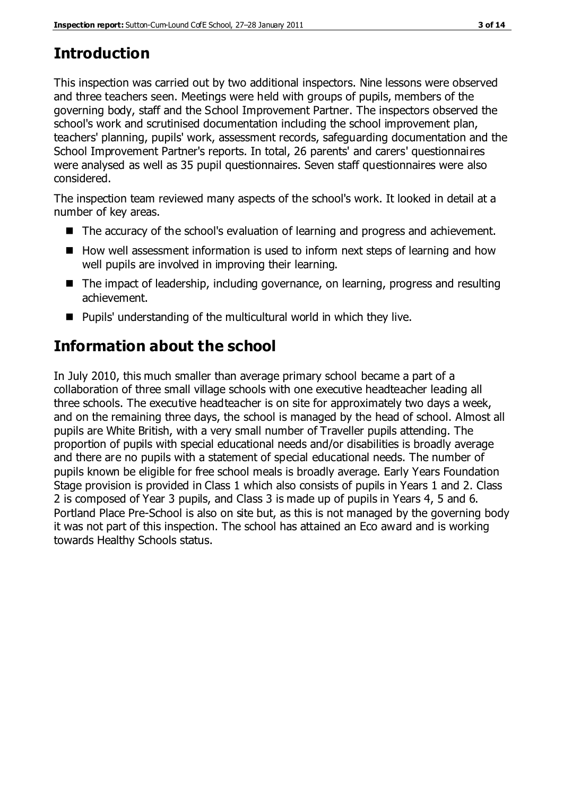## **Introduction**

This inspection was carried out by two additional inspectors. Nine lessons were observed and three teachers seen. Meetings were held with groups of pupils, members of the governing body, staff and the School Improvement Partner. The inspectors observed the school's work and scrutinised documentation including the school improvement plan, teachers' planning, pupils' work, assessment records, safeguarding documentation and the School Improvement Partner's reports. In total, 26 parents' and carers' questionnaires were analysed as well as 35 pupil questionnaires. Seven staff questionnaires were also considered.

The inspection team reviewed many aspects of the school's work. It looked in detail at a number of key areas.

- The accuracy of the school's evaluation of learning and progress and achievement.
- $\blacksquare$  How well assessment information is used to inform next steps of learning and how well pupils are involved in improving their learning.
- The impact of leadership, including governance, on learning, progress and resulting achievement.
- Pupils' understanding of the multicultural world in which they live.

# **Information about the school**

In July 2010, this much smaller than average primary school became a part of a collaboration of three small village schools with one executive headteacher leading all three schools. The executive headteacher is on site for approximately two days a week, and on the remaining three days, the school is managed by the head of school. Almost all pupils are White British, with a very small number of Traveller pupils attending. The proportion of pupils with special educational needs and/or disabilities is broadly average and there are no pupils with a statement of special educational needs. The number of pupils known be eligible for free school meals is broadly average. Early Years Foundation Stage provision is provided in Class 1 which also consists of pupils in Years 1 and 2. Class 2 is composed of Year 3 pupils, and Class 3 is made up of pupils in Years 4, 5 and 6. Portland Place Pre-School is also on site but, as this is not managed by the governing body it was not part of this inspection. The school has attained an Eco award and is working towards Healthy Schools status.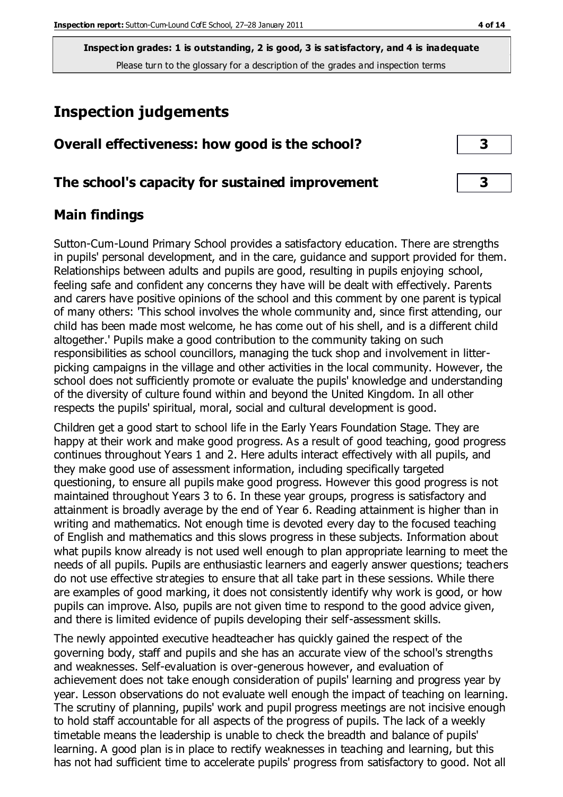## **Inspection judgements**

| Overall effectiveness: how good is the school?  |  |
|-------------------------------------------------|--|
| The school's capacity for sustained improvement |  |

## **Main findings**

Sutton-Cum-Lound Primary School provides a satisfactory education. There are strengths in pupils' personal development, and in the care, guidance and support provided for them. Relationships between adults and pupils are good, resulting in pupils enjoying school, feeling safe and confident any concerns they have will be dealt with effectively. Parents and carers have positive opinions of the school and this comment by one parent is typical of many others: 'This school involves the whole community and, since first attending, our child has been made most welcome, he has come out of his shell, and is a different child altogether.' Pupils make a good contribution to the community taking on such responsibilities as school councillors, managing the tuck shop and involvement in litterpicking campaigns in the village and other activities in the local community. However, the school does not sufficiently promote or evaluate the pupils' knowledge and understanding of the diversity of culture found within and beyond the United Kingdom. In all other respects the pupils' spiritual, moral, social and cultural development is good.

Children get a good start to school life in the Early Years Foundation Stage. They are happy at their work and make good progress. As a result of good teaching, good progress continues throughout Years 1 and 2. Here adults interact effectively with all pupils, and they make good use of assessment information, including specifically targeted questioning, to ensure all pupils make good progress. However this good progress is not maintained throughout Years 3 to 6. In these year groups, progress is satisfactory and attainment is broadly average by the end of Year 6. Reading attainment is higher than in writing and mathematics. Not enough time is devoted every day to the focused teaching of English and mathematics and this slows progress in these subjects. Information about what pupils know already is not used well enough to plan appropriate learning to meet the needs of all pupils. Pupils are enthusiastic learners and eagerly answer questions; teachers do not use effective strategies to ensure that all take part in these sessions. While there are examples of good marking, it does not consistently identify why work is good, or how pupils can improve. Also, pupils are not given time to respond to the good advice given, and there is limited evidence of pupils developing their self-assessment skills.

The newly appointed executive headteacher has quickly gained the respect of the governing body, staff and pupils and she has an accurate view of the school's strengths and weaknesses. Self-evaluation is over-generous however, and evaluation of achievement does not take enough consideration of pupils' learning and progress year by year. Lesson observations do not evaluate well enough the impact of teaching on learning. The scrutiny of planning, pupils' work and pupil progress meetings are not incisive enough to hold staff accountable for all aspects of the progress of pupils. The lack of a weekly timetable means the leadership is unable to check the breadth and balance of pupils' learning. A good plan is in place to rectify weaknesses in teaching and learning, but this has not had sufficient time to accelerate pupils' progress from satisfactory to good. Not all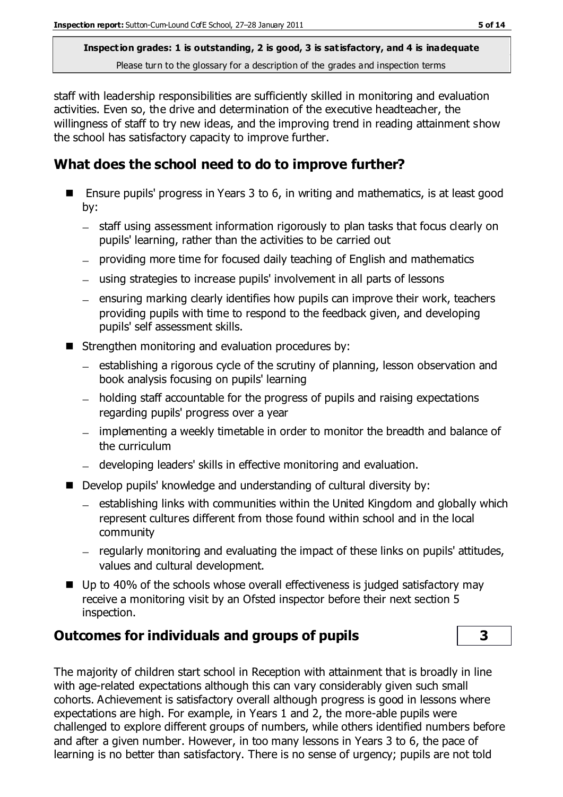staff with leadership responsibilities are sufficiently skilled in monitoring and evaluation activities. Even so, the drive and determination of the executive headteacher, the willingness of staff to try new ideas, and the improving trend in reading attainment show the school has satisfactory capacity to improve further.

## **What does the school need to do to improve further?**

- Ensure pupils' progress in Years 3 to 6, in writing and mathematics, is at least good by:
	- staff using assessment information rigorously to plan tasks that focus clearly on pupils' learning, rather than the activities to be carried out
	- providing more time for focused daily teaching of English and mathematics
	- using strategies to increase pupils' involvement in all parts of lessons
	- $-$  ensuring marking clearly identifies how pupils can improve their work, teachers providing pupils with time to respond to the feedback given, and developing pupils' self assessment skills.
- $\blacksquare$  Strengthen monitoring and evaluation procedures by:
	- establishing a rigorous cycle of the scrutiny of planning, lesson observation and book analysis focusing on pupils' learning
	- holding staff accountable for the progress of pupils and raising expectations regarding pupils' progress over a year
	- implementing a weekly timetable in order to monitor the breadth and balance of the curriculum
	- developing leaders' skills in effective monitoring and evaluation.
- Develop pupils' knowledge and understanding of cultural diversity by:
	- $-$  establishing links with communities within the United Kingdom and globally which represent cultures different from those found within school and in the local community
	- regularly monitoring and evaluating the impact of these links on pupils' attitudes, values and cultural development.
- $\blacksquare$  Up to 40% of the schools whose overall effectiveness is judged satisfactory may receive a monitoring visit by an Ofsted inspector before their next section 5 inspection.

## **Outcomes for individuals and groups of pupils 3**

The majority of children start school in Reception with attainment that is broadly in line with age-related expectations although this can vary considerably given such small cohorts. Achievement is satisfactory overall although progress is good in lessons where expectations are high. For example, in Years 1 and 2, the more-able pupils were challenged to explore different groups of numbers, while others identified numbers before and after a given number. However, in too many lessons in Years 3 to 6, the pace of learning is no better than satisfactory. There is no sense of urgency; pupils are not told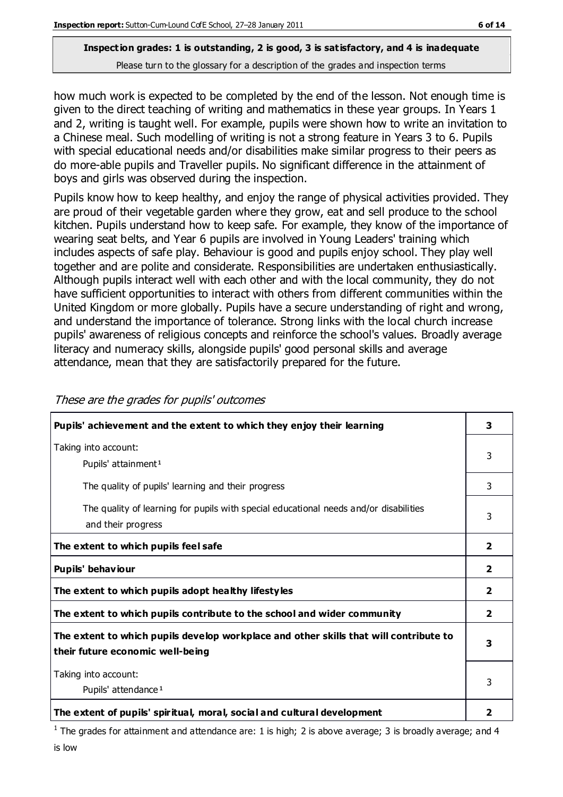how much work is expected to be completed by the end of the lesson. Not enough time is given to the direct teaching of writing and mathematics in these year groups. In Years 1 and 2, writing is taught well. For example, pupils were shown how to write an invitation to a Chinese meal. Such modelling of writing is not a strong feature in Years 3 to 6. Pupils with special educational needs and/or disabilities make similar progress to their peers as do more-able pupils and Traveller pupils. No significant difference in the attainment of boys and girls was observed during the inspection.

Pupils know how to keep healthy, and enjoy the range of physical activities provided. They are proud of their vegetable garden where they grow, eat and sell produce to the school kitchen. Pupils understand how to keep safe. For example, they know of the importance of wearing seat belts, and Year 6 pupils are involved in Young Leaders' training which includes aspects of safe play. Behaviour is good and pupils enjoy school. They play well together and are polite and considerate. Responsibilities are undertaken enthusiastically. Although pupils interact well with each other and with the local community, they do not have sufficient opportunities to interact with others from different communities within the United Kingdom or more globally. Pupils have a secure understanding of right and wrong, and understand the importance of tolerance. Strong links with the local church increase pupils' awareness of religious concepts and reinforce the school's values. Broadly average literacy and numeracy skills, alongside pupils' good personal skills and average attendance, mean that they are satisfactorily prepared for the future.

| Pupils' achievement and the extent to which they enjoy their learning                                                     | 3                       |
|---------------------------------------------------------------------------------------------------------------------------|-------------------------|
| Taking into account:<br>Pupils' attainment <sup>1</sup>                                                                   | 3                       |
| The quality of pupils' learning and their progress                                                                        | 3                       |
| The quality of learning for pupils with special educational needs and/or disabilities<br>and their progress               | 3                       |
| The extent to which pupils feel safe                                                                                      | $\mathbf{z}$            |
| Pupils' behaviour                                                                                                         | $\overline{2}$          |
| The extent to which pupils adopt healthy lifestyles                                                                       | 2                       |
| The extent to which pupils contribute to the school and wider community                                                   | $\overline{\mathbf{2}}$ |
| The extent to which pupils develop workplace and other skills that will contribute to<br>their future economic well-being | 3                       |
| Taking into account:<br>Pupils' attendance <sup>1</sup>                                                                   | 3                       |
| The extent of pupils' spiritual, moral, social and cultural development                                                   | 2                       |

These are the grades for pupils' outcomes

<sup>1</sup> The grades for attainment and attendance are: 1 is high; 2 is above average; 3 is broadly average; and 4 is low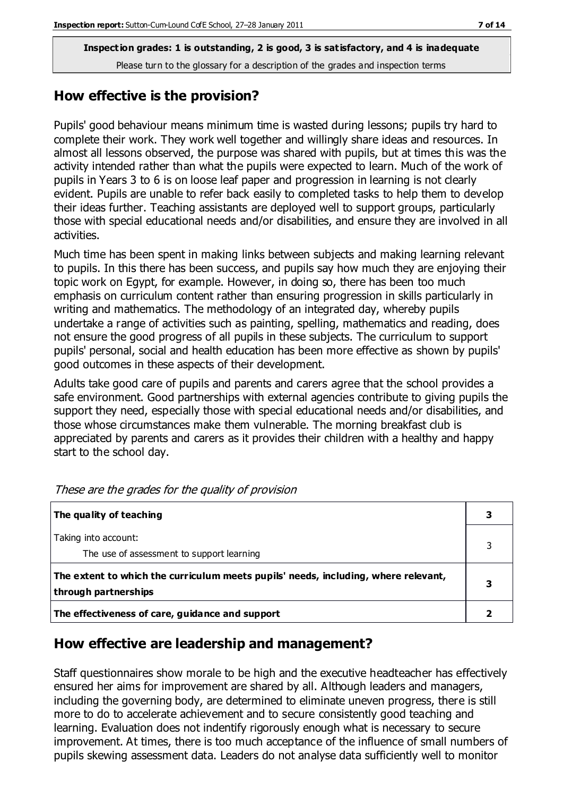## **How effective is the provision?**

Pupils' good behaviour means minimum time is wasted during lessons; pupils try hard to complete their work. They work well together and willingly share ideas and resources. In almost all lessons observed, the purpose was shared with pupils, but at times this was the activity intended rather than what the pupils were expected to learn. Much of the work of pupils in Years 3 to 6 is on loose leaf paper and progression in learning is not clearly evident. Pupils are unable to refer back easily to completed tasks to help them to develop their ideas further. Teaching assistants are deployed well to support groups, particularly those with special educational needs and/or disabilities, and ensure they are involved in all activities.

Much time has been spent in making links between subjects and making learning relevant to pupils. In this there has been success, and pupils say how much they are enjoying their topic work on Egypt, for example. However, in doing so, there has been too much emphasis on curriculum content rather than ensuring progression in skills particularly in writing and mathematics. The methodology of an integrated day, whereby pupils undertake a range of activities such as painting, spelling, mathematics and reading, does not ensure the good progress of all pupils in these subjects. The curriculum to support pupils' personal, social and health education has been more effective as shown by pupils' good outcomes in these aspects of their development.

Adults take good care of pupils and parents and carers agree that the school provides a safe environment. Good partnerships with external agencies contribute to giving pupils the support they need, especially those with special educational needs and/or disabilities, and those whose circumstances make them vulnerable. The morning breakfast club is appreciated by parents and carers as it provides their children with a healthy and happy start to the school day.

| The quality of teaching                                                            |   |
|------------------------------------------------------------------------------------|---|
|                                                                                    |   |
| Taking into account:                                                               |   |
| The use of assessment to support learning                                          |   |
| The extent to which the curriculum meets pupils' needs, including, where relevant, |   |
| through partnerships                                                               | З |
| The effectiveness of care, guidance and support                                    |   |

These are the grades for the quality of provision

## **How effective are leadership and management?**

Staff questionnaires show morale to be high and the executive headteacher has effectively ensured her aims for improvement are shared by all. Although leaders and managers, including the governing body, are determined to eliminate uneven progress, there is still more to do to accelerate achievement and to secure consistently good teaching and learning. Evaluation does not indentify rigorously enough what is necessary to secure improvement. At times, there is too much acceptance of the influence of small numbers of pupils skewing assessment data. Leaders do not analyse data sufficiently well to monitor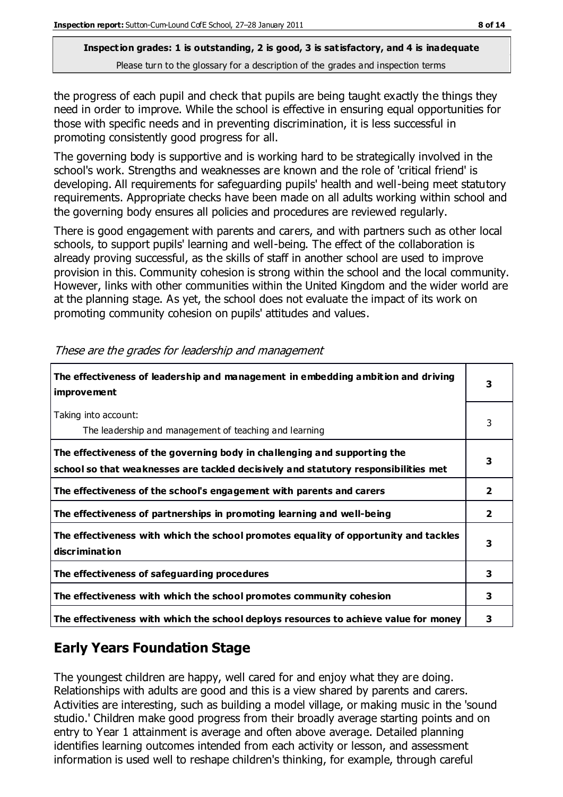the progress of each pupil and check that pupils are being taught exactly the things they need in order to improve. While the school is effective in ensuring equal opportunities for those with specific needs and in preventing discrimination, it is less successful in promoting consistently good progress for all.

The governing body is supportive and is working hard to be strategically involved in the school's work. Strengths and weaknesses are known and the role of 'critical friend' is developing. All requirements for safeguarding pupils' health and well-being meet statutory requirements. Appropriate checks have been made on all adults working within school and the governing body ensures all policies and procedures are reviewed regularly.

There is good engagement with parents and carers, and with partners such as other local schools, to support pupils' learning and well-being. The effect of the collaboration is already proving successful, as the skills of staff in another school are used to improve provision in this. Community cohesion is strong within the school and the local community. However, links with other communities within the United Kingdom and the wider world are at the planning stage. As yet, the school does not evaluate the impact of its work on promoting community cohesion on pupils' attitudes and values.

| The effectiveness of leadership and management in embedding ambition and driving<br><i>improvement</i>                                                           |              |
|------------------------------------------------------------------------------------------------------------------------------------------------------------------|--------------|
| Taking into account:<br>The leadership and management of teaching and learning                                                                                   | 3            |
| The effectiveness of the governing body in challenging and supporting the<br>school so that weaknesses are tackled decisively and statutory responsibilities met | 3            |
| The effectiveness of the school's engagement with parents and carers                                                                                             | $\mathbf{2}$ |
| The effectiveness of partnerships in promoting learning and well-being                                                                                           | $\mathbf{2}$ |
| The effectiveness with which the school promotes equality of opportunity and tackles<br>discrimination                                                           | 3            |
| The effectiveness of safeguarding procedures                                                                                                                     | 3            |
| The effectiveness with which the school promotes community cohesion                                                                                              | 3            |
| The effectiveness with which the school deploys resources to achieve value for money                                                                             | 3            |

These are the grades for leadership and management

## **Early Years Foundation Stage**

The youngest children are happy, well cared for and enjoy what they are doing. Relationships with adults are good and this is a view shared by parents and carers. Activities are interesting, such as building a model village, or making music in the 'sound studio.' Children make good progress from their broadly average starting points and on entry to Year 1 attainment is average and often above average. Detailed planning identifies learning outcomes intended from each activity or lesson, and assessment information is used well to reshape children's thinking, for example, through careful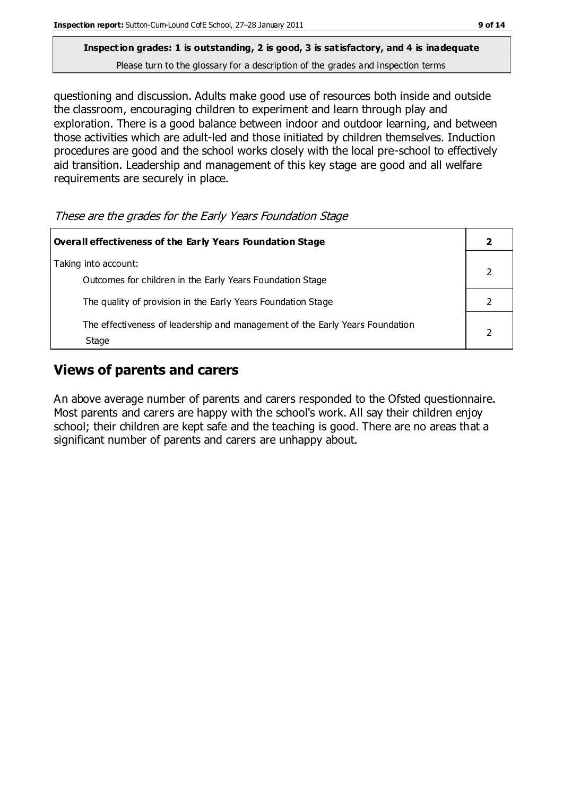questioning and discussion. Adults make good use of resources both inside and outside the classroom, encouraging children to experiment and learn through play and exploration. There is a good balance between indoor and outdoor learning, and between those activities which are adult-led and those initiated by children themselves. Induction procedures are good and the school works closely with the local pre-school to effectively aid transition. Leadership and management of this key stage are good and all welfare requirements are securely in place.

These are the grades for the Early Years Foundation Stage

| Overall effectiveness of the Early Years Foundation Stage                             |  |
|---------------------------------------------------------------------------------------|--|
| Taking into account:<br>Outcomes for children in the Early Years Foundation Stage     |  |
| The quality of provision in the Early Years Foundation Stage                          |  |
| The effectiveness of leadership and management of the Early Years Foundation<br>Stage |  |

## **Views of parents and carers**

An above average number of parents and carers responded to the Ofsted questionnaire. Most parents and carers are happy with the school's work. All say their children enjoy school; their children are kept safe and the teaching is good. There are no areas that a significant number of parents and carers are unhappy about.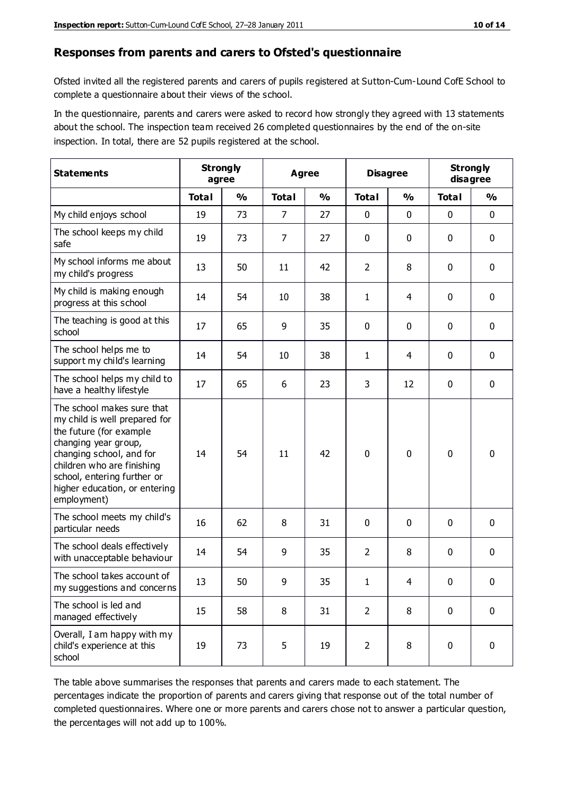#### **Responses from parents and carers to Ofsted's questionnaire**

Ofsted invited all the registered parents and carers of pupils registered at Sutton-Cum-Lound CofE School to complete a questionnaire about their views of the school.

In the questionnaire, parents and carers were asked to record how strongly they agreed with 13 statements about the school. The inspection team received 26 completed questionnaires by the end of the on-site inspection. In total, there are 52 pupils registered at the school.

| <b>Statements</b>                                                                                                                                                                                                                                       | <b>Strongly</b><br>agree |               | Agree          |               | <b>Disagree</b> |               | <b>Strongly</b><br>disagree |               |
|---------------------------------------------------------------------------------------------------------------------------------------------------------------------------------------------------------------------------------------------------------|--------------------------|---------------|----------------|---------------|-----------------|---------------|-----------------------------|---------------|
|                                                                                                                                                                                                                                                         | <b>Total</b>             | $\frac{0}{0}$ | <b>Total</b>   | $\frac{0}{0}$ | <b>Total</b>    | $\frac{0}{0}$ | <b>Total</b>                | $\frac{1}{2}$ |
| My child enjoys school                                                                                                                                                                                                                                  | 19                       | 73            | $\overline{7}$ | 27            | 0               | 0             | $\mathbf 0$                 | $\mathbf 0$   |
| The school keeps my child<br>safe                                                                                                                                                                                                                       | 19                       | 73            | 7              | 27            | 0               | 0             | $\mathbf 0$                 | $\mathbf 0$   |
| My school informs me about<br>my child's progress                                                                                                                                                                                                       | 13                       | 50            | 11             | 42            | $\overline{2}$  | 8             | $\mathbf 0$                 | $\mathbf 0$   |
| My child is making enough<br>progress at this school                                                                                                                                                                                                    | 14                       | 54            | 10             | 38            | 1               | 4             | $\mathbf 0$                 | $\mathbf 0$   |
| The teaching is good at this<br>school                                                                                                                                                                                                                  | 17                       | 65            | 9              | 35            | 0               | 0             | 0                           | $\mathbf 0$   |
| The school helps me to<br>support my child's learning                                                                                                                                                                                                   | 14                       | 54            | 10             | 38            | 1               | 4             | $\mathbf 0$                 | $\mathbf 0$   |
| The school helps my child to<br>have a healthy lifestyle                                                                                                                                                                                                | 17                       | 65            | 6              | 23            | 3               | 12            | $\mathbf 0$                 | $\mathbf 0$   |
| The school makes sure that<br>my child is well prepared for<br>the future (for example<br>changing year group,<br>changing school, and for<br>children who are finishing<br>school, entering further or<br>higher education, or entering<br>employment) | 14                       | 54            | 11             | 42            | 0               | $\mathbf 0$   | $\mathbf 0$                 | $\mathbf 0$   |
| The school meets my child's<br>particular needs                                                                                                                                                                                                         | 16                       | 62            | 8              | 31            | 0               | $\mathbf{0}$  | $\mathbf 0$                 | $\mathbf 0$   |
| The school deals effectively<br>with unacceptable behaviour                                                                                                                                                                                             | 14                       | 54            | 9              | 35            | $\overline{2}$  | 8             | 0                           | 0             |
| The school takes account of<br>my suggestions and concerns                                                                                                                                                                                              | 13                       | 50            | 9              | 35            | 1               | 4             | 0                           | $\mathbf{0}$  |
| The school is led and<br>managed effectively                                                                                                                                                                                                            | 15                       | 58            | 8              | 31            | $\overline{2}$  | 8             | $\mathbf 0$                 | $\mathbf 0$   |
| Overall, I am happy with my<br>child's experience at this<br>school                                                                                                                                                                                     | 19                       | 73            | 5              | 19            | $\overline{2}$  | 8             | $\mathbf 0$                 | $\mathbf 0$   |

The table above summarises the responses that parents and carers made to each statement. The percentages indicate the proportion of parents and carers giving that response out of the total number of completed questionnaires. Where one or more parents and carers chose not to answer a particular question, the percentages will not add up to 100%.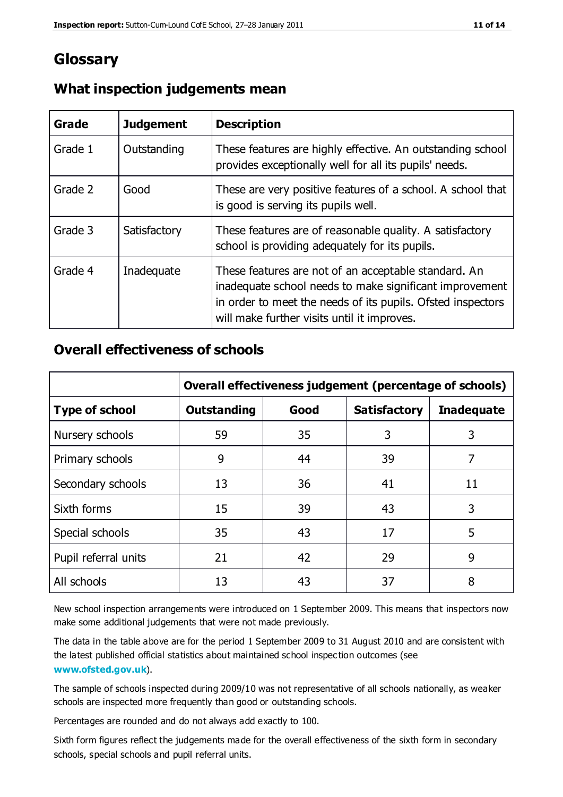## **Glossary**

| Grade   | <b>Judgement</b> | <b>Description</b>                                                                                                                                                                                                            |
|---------|------------------|-------------------------------------------------------------------------------------------------------------------------------------------------------------------------------------------------------------------------------|
| Grade 1 | Outstanding      | These features are highly effective. An outstanding school<br>provides exceptionally well for all its pupils' needs.                                                                                                          |
| Grade 2 | Good             | These are very positive features of a school. A school that<br>is good is serving its pupils well.                                                                                                                            |
| Grade 3 | Satisfactory     | These features are of reasonable quality. A satisfactory<br>school is providing adequately for its pupils.                                                                                                                    |
| Grade 4 | Inadequate       | These features are not of an acceptable standard. An<br>inadequate school needs to make significant improvement<br>in order to meet the needs of its pupils. Ofsted inspectors<br>will make further visits until it improves. |

## **What inspection judgements mean**

## **Overall effectiveness of schools**

|                       | Overall effectiveness judgement (percentage of schools) |      |                     |                   |
|-----------------------|---------------------------------------------------------|------|---------------------|-------------------|
| <b>Type of school</b> | <b>Outstanding</b>                                      | Good | <b>Satisfactory</b> | <b>Inadequate</b> |
| Nursery schools       | 59                                                      | 35   | 3                   | 3                 |
| Primary schools       | 9                                                       | 44   | 39                  | 7                 |
| Secondary schools     | 13                                                      | 36   | 41                  | 11                |
| Sixth forms           | 15                                                      | 39   | 43                  | 3                 |
| Special schools       | 35                                                      | 43   | 17                  | 5                 |
| Pupil referral units  | 21                                                      | 42   | 29                  | 9                 |
| All schools           | 13                                                      | 43   | 37                  | 8                 |

New school inspection arrangements were introduced on 1 September 2009. This means that inspectors now make some additional judgements that were not made previously.

The data in the table above are for the period 1 September 2009 to 31 August 2010 and are consistent with the latest published official statistics about maintained school inspec tion outcomes (see **[www.ofsted.gov.uk](http://www.ofsted.gov.uk/)**).

The sample of schools inspected during 2009/10 was not representative of all schools nationally, as weaker schools are inspected more frequently than good or outstanding schools.

Percentages are rounded and do not always add exactly to 100.

Sixth form figures reflect the judgements made for the overall effectiveness of the sixth form in secondary schools, special schools and pupil referral units.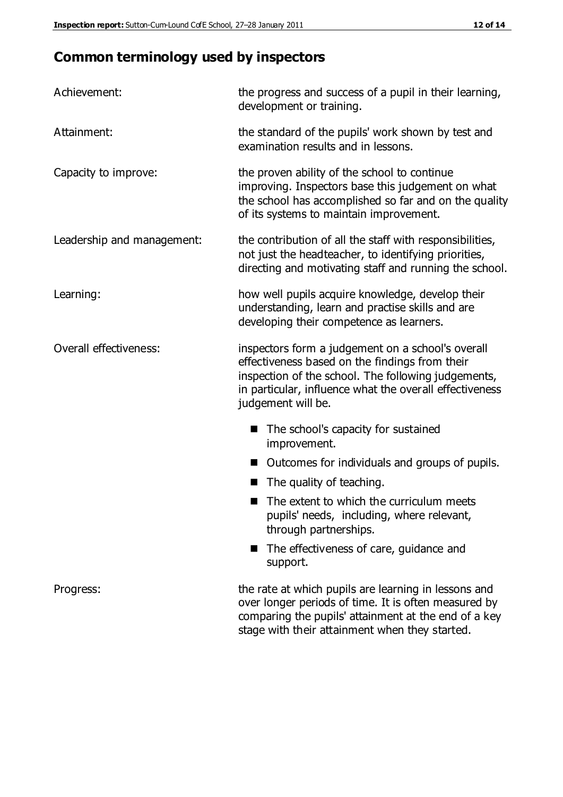## **Common terminology used by inspectors**

| Achievement:                  | the progress and success of a pupil in their learning,<br>development or training.                                                                                                                                                          |
|-------------------------------|---------------------------------------------------------------------------------------------------------------------------------------------------------------------------------------------------------------------------------------------|
| Attainment:                   | the standard of the pupils' work shown by test and<br>examination results and in lessons.                                                                                                                                                   |
| Capacity to improve:          | the proven ability of the school to continue<br>improving. Inspectors base this judgement on what<br>the school has accomplished so far and on the quality<br>of its systems to maintain improvement.                                       |
| Leadership and management:    | the contribution of all the staff with responsibilities,<br>not just the headteacher, to identifying priorities,<br>directing and motivating staff and running the school.                                                                  |
| Learning:                     | how well pupils acquire knowledge, develop their<br>understanding, learn and practise skills and are<br>developing their competence as learners.                                                                                            |
| <b>Overall effectiveness:</b> | inspectors form a judgement on a school's overall<br>effectiveness based on the findings from their<br>inspection of the school. The following judgements,<br>in particular, influence what the overall effectiveness<br>judgement will be. |
|                               | The school's capacity for sustained<br>improvement.                                                                                                                                                                                         |
|                               | Outcomes for individuals and groups of pupils.                                                                                                                                                                                              |
|                               | The quality of teaching.                                                                                                                                                                                                                    |
|                               | The extent to which the curriculum meets<br>pupils' needs, including, where relevant,<br>through partnerships.                                                                                                                              |
|                               | The effectiveness of care, guidance and<br>support.                                                                                                                                                                                         |
| Progress:                     | the rate at which pupils are learning in lessons and<br>over longer periods of time. It is often measured by<br>comparing the pupils' attainment at the end of a key                                                                        |

stage with their attainment when they started.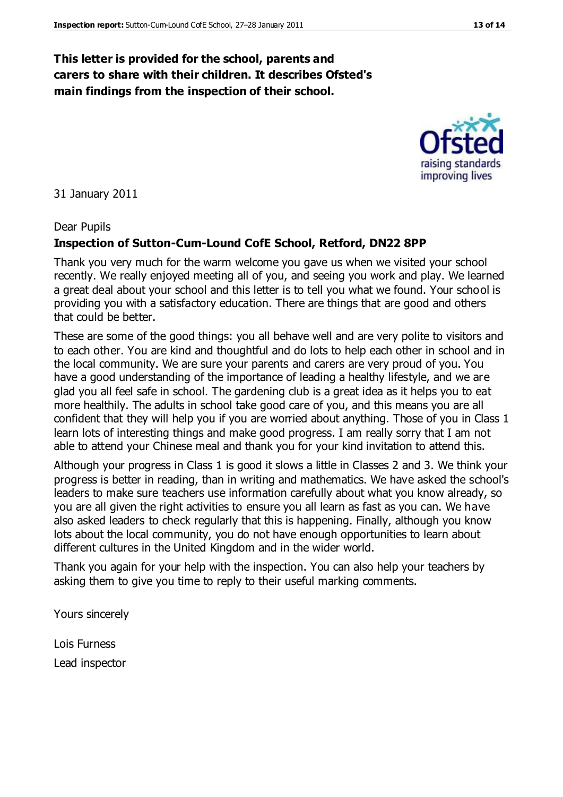## **This letter is provided for the school, parents and carers to share with their children. It describes Ofsted's main findings from the inspection of their school.**

31 January 2011

#### Dear Pupils

#### **Inspection of Sutton-Cum-Lound CofE School, Retford, DN22 8PP**

Thank you very much for the warm welcome you gave us when we visited your school recently. We really enjoyed meeting all of you, and seeing you work and play. We learned a great deal about your school and this letter is to tell you what we found. Your school is providing you with a satisfactory education. There are things that are good and others that could be better.

These are some of the good things: you all behave well and are very polite to visitors and to each other. You are kind and thoughtful and do lots to help each other in school and in the local community. We are sure your parents and carers are very proud of you. You have a good understanding of the importance of leading a healthy lifestyle, and we are glad you all feel safe in school. The gardening club is a great idea as it helps you to eat more healthily. The adults in school take good care of you, and this means you are all confident that they will help you if you are worried about anything. Those of you in Class 1 learn lots of interesting things and make good progress. I am really sorry that I am not able to attend your Chinese meal and thank you for your kind invitation to attend this.

Although your progress in Class 1 is good it slows a little in Classes 2 and 3. We think your progress is better in reading, than in writing and mathematics. We have asked the school's leaders to make sure teachers use information carefully about what you know already, so you are all given the right activities to ensure you all learn as fast as you can. We have also asked leaders to check regularly that this is happening. Finally, although you know lots about the local community, you do not have enough opportunities to learn about different cultures in the United Kingdom and in the wider world.

Thank you again for your help with the inspection. You can also help your teachers by asking them to give you time to reply to their useful marking comments.

Yours sincerely

Lois Furness Lead inspector